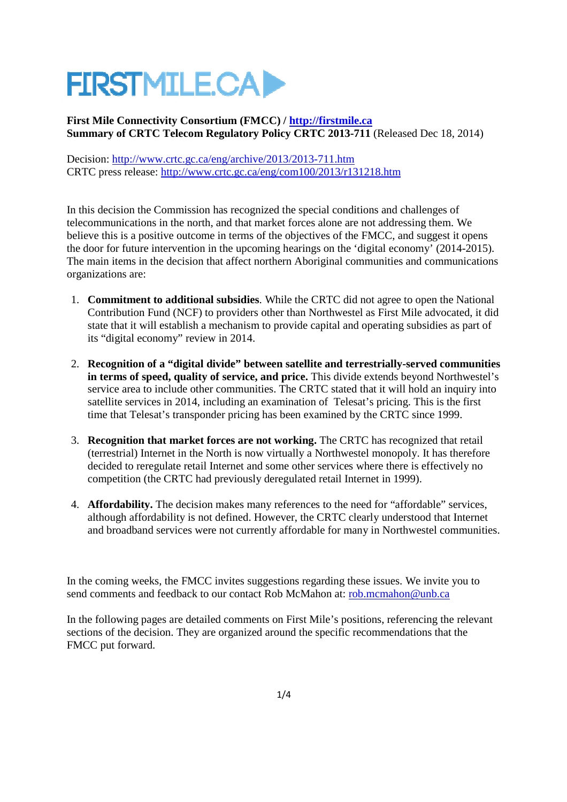# **FIRSTMILE.CAD**

**First Mile Connectivity Consortium (FMCC) / http://firstmile.ca Summary of CRTC Telecom Regulatory Policy CRTC 2013-711** (Released Dec 18, 2014)

Decision: http://www.crtc.gc.ca/eng/archive/2013/2013-711.htm CRTC press release: http://www.crtc.gc.ca/eng/com100/2013/r131218.htm

In this decision the Commission has recognized the special conditions and challenges of telecommunications in the north, and that market forces alone are not addressing them. We believe this is a positive outcome in terms of the objectives of the FMCC, and suggest it opens the door for future intervention in the upcoming hearings on the 'digital economy' (2014-2015). The main items in the decision that affect northern Aboriginal communities and communications organizations are:

- 1. **Commitment to additional subsidies**. While the CRTC did not agree to open the National Contribution Fund (NCF) to providers other than Northwestel as First Mile advocated, it did state that it will establish a mechanism to provide capital and operating subsidies as part of its "digital economy" review in 2014.
- 2. **Recognition of a "digital divide" between satellite and terrestrially-served communities in terms of speed, quality of service, and price.** This divide extends beyond Northwestel's service area to include other communities. The CRTC stated that it will hold an inquiry into satellite services in 2014, including an examination of Telesat's pricing. This is the first time that Telesat's transponder pricing has been examined by the CRTC since 1999.
- 3. **Recognition that market forces are not working.** The CRTC has recognized that retail (terrestrial) Internet in the North is now virtually a Northwestel monopoly. It has therefore decided to reregulate retail Internet and some other services where there is effectively no competition (the CRTC had previously deregulated retail Internet in 1999).
- 4. **Affordability.** The decision makes many references to the need for "affordable" services, although affordability is not defined. However, the CRTC clearly understood that Internet and broadband services were not currently affordable for many in Northwestel communities.

In the coming weeks, the FMCC invites suggestions regarding these issues. We invite you to send comments and feedback to our contact Rob McMahon at: rob.mcmahon@unb.ca

In the following pages are detailed comments on First Mile's positions, referencing the relevant sections of the decision. They are organized around the specific recommendations that the FMCC put forward.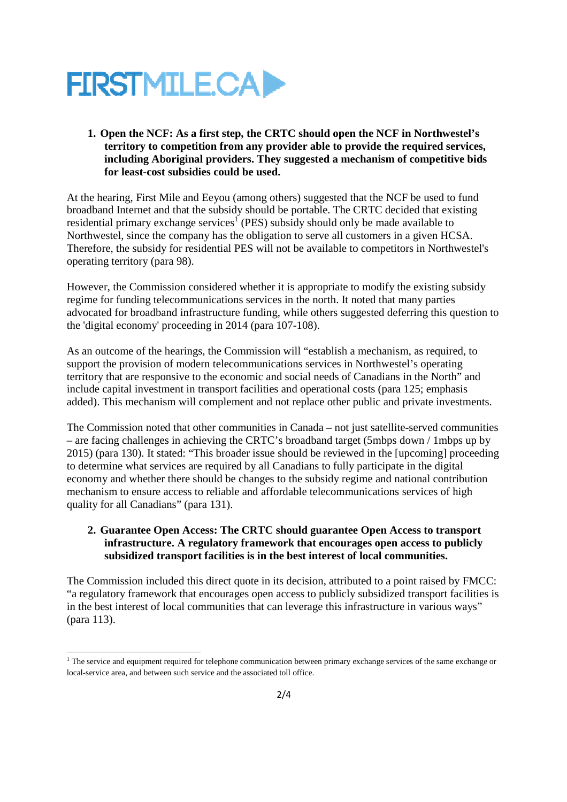

#### **1. Open the NCF: As a first step, the CRTC should open the NCF in Northwestel's territory to competition from any provider able to provide the required services, including Aboriginal providers. They suggested a mechanism of competitive bids for least-cost subsidies could be used.**

At the hearing, First Mile and Eeyou (among others) suggested that the NCF be used to fund broadband Internet and that the subsidy should be portable. The CRTC decided that existing residential primary exchange services<sup>1</sup> (PES) subsidy should only be made available to Northwestel, since the company has the obligation to serve all customers in a given HCSA. Therefore, the subsidy for residential PES will not be available to competitors in Northwestel's operating territory (para 98).

However, the Commission considered whether it is appropriate to modify the existing subsidy regime for funding telecommunications services in the north. It noted that many parties advocated for broadband infrastructure funding, while others suggested deferring this question to the 'digital economy' proceeding in 2014 (para 107-108).

As an outcome of the hearings, the Commission will "establish a mechanism, as required, to support the provision of modern telecommunications services in Northwestel's operating territory that are responsive to the economic and social needs of Canadians in the North" and include capital investment in transport facilities and operational costs (para 125; emphasis added). This mechanism will complement and not replace other public and private investments.

The Commission noted that other communities in Canada – not just satellite-served communities – are facing challenges in achieving the CRTC's broadband target (5mbps down / 1mbps up by 2015) (para 130). It stated: "This broader issue should be reviewed in the [upcoming] proceeding to determine what services are required by all Canadians to fully participate in the digital economy and whether there should be changes to the subsidy regime and national contribution mechanism to ensure access to reliable and affordable telecommunications services of high quality for all Canadians" (para 131).

#### **2. Guarantee Open Access: The CRTC should guarantee Open Access to transport infrastructure. A regulatory framework that encourages open access to publicly subsidized transport facilities is in the best interest of local communities.**

The Commission included this direct quote in its decision, attributed to a point raised by FMCC: "a regulatory framework that encourages open access to publicly subsidized transport facilities is in the best interest of local communities that can leverage this infrastructure in various ways" (para 113).

.

<sup>&</sup>lt;sup>1</sup> The service and equipment required for telephone communication between primary exchange services of the same exchange or local-service area, and between such service and the associated toll office.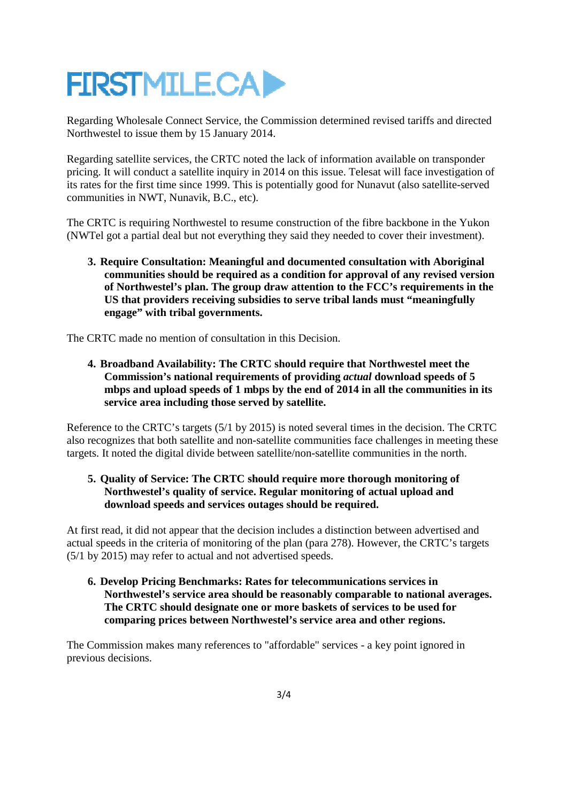# **FIRSTMILE.CAD**

Regarding Wholesale Connect Service, the Commission determined revised tariffs and directed Northwestel to issue them by 15 January 2014.

Regarding satellite services, the CRTC noted the lack of information available on transponder pricing. It will conduct a satellite inquiry in 2014 on this issue. Telesat will face investigation of its rates for the first time since 1999. This is potentially good for Nunavut (also satellite-served communities in NWT, Nunavik, B.C., etc).

The CRTC is requiring Northwestel to resume construction of the fibre backbone in the Yukon (NWTel got a partial deal but not everything they said they needed to cover their investment).

**3. Require Consultation: Meaningful and documented consultation with Aboriginal communities should be required as a condition for approval of any revised version of Northwestel's plan. The group draw attention to the FCC's requirements in the US that providers receiving subsidies to serve tribal lands must "meaningfully engage" with tribal governments.** 

The CRTC made no mention of consultation in this Decision.

**4. Broadband Availability: The CRTC should require that Northwestel meet the Commission's national requirements of providing** *actual* **download speeds of 5 mbps and upload speeds of 1 mbps by the end of 2014 in all the communities in its service area including those served by satellite.** 

Reference to the CRTC's targets (5/1 by 2015) is noted several times in the decision. The CRTC also recognizes that both satellite and non-satellite communities face challenges in meeting these targets. It noted the digital divide between satellite/non-satellite communities in the north.

#### **5. Quality of Service: The CRTC should require more thorough monitoring of Northwestel's quality of service. Regular monitoring of actual upload and download speeds and services outages should be required.**

At first read, it did not appear that the decision includes a distinction between advertised and actual speeds in the criteria of monitoring of the plan (para 278). However, the CRTC's targets (5/1 by 2015) may refer to actual and not advertised speeds.

**6. Develop Pricing Benchmarks: Rates for telecommunications services in Northwestel's service area should be reasonably comparable to national averages. The CRTC should designate one or more baskets of services to be used for comparing prices between Northwestel's service area and other regions.** 

The Commission makes many references to "affordable" services - a key point ignored in previous decisions.